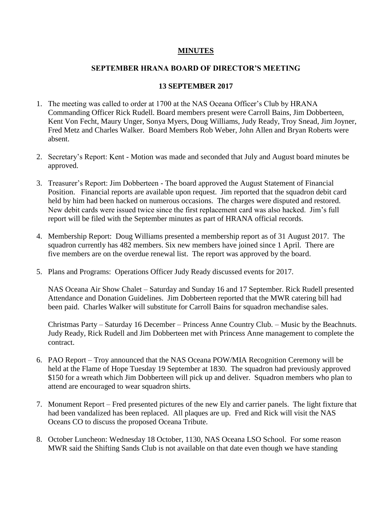## **MINUTES**

## **SEPTEMBER HRANA BOARD OF DIRECTOR'S MEETING**

## **13 SEPTEMBER 2017**

- 1. The meeting was called to order at 1700 at the NAS Oceana Officer's Club by HRANA Commanding Officer Rick Rudell. Board members present were Carroll Bains, Jim Dobberteen, Kent Von Fecht, Maury Unger, Sonya Myers, Doug Williams, Judy Ready, Troy Snead, Jim Joyner, Fred Metz and Charles Walker. Board Members Rob Weber, John Allen and Bryan Roberts were absent.
- 2. Secretary's Report: Kent Motion was made and seconded that July and August board minutes be approved.
- 3. Treasurer's Report: Jim Dobberteen The board approved the August Statement of Financial Position. Financial reports are available upon request. Jim reported that the squadron debit card held by him had been hacked on numerous occasions. The charges were disputed and restored. New debit cards were issued twice since the first replacement card was also hacked. Jim's full report will be filed with the September minutes as part of HRANA official records.
- 4. Membership Report: Doug Williams presented a membership report as of 31 August 2017. The squadron currently has 482 members. Six new members have joined since 1 April. There are five members are on the overdue renewal list. The report was approved by the board.
- 5. Plans and Programs: Operations Officer Judy Ready discussed events for 2017.

NAS Oceana Air Show Chalet – Saturday and Sunday 16 and 17 September. Rick Rudell presented Attendance and Donation Guidelines. Jim Dobberteen reported that the MWR catering bill had been paid. Charles Walker will substitute for Carroll Bains for squadron mechandise sales.

Christmas Party – Saturday 16 December – Princess Anne Country Club. – Music by the Beachnuts. Judy Ready, Rick Rudell and Jim Dobberteen met with Princess Anne management to complete the contract.

- 6. PAO Report Troy announced that the NAS Oceana POW/MIA Recognition Ceremony will be held at the Flame of Hope Tuesday 19 September at 1830. The squadron had previously approved \$150 for a wreath which Jim Dobberteen will pick up and deliver. Squadron members who plan to attend are encouraged to wear squadron shirts.
- 7. Monument Report Fred presented pictures of the new Ely and carrier panels. The light fixture that had been vandalized has been replaced. All plaques are up. Fred and Rick will visit the NAS Oceans CO to discuss the proposed Oceana Tribute.
- 8. October Luncheon: Wednesday 18 October, 1130, NAS Oceana LSO School. For some reason MWR said the Shifting Sands Club is not available on that date even though we have standing